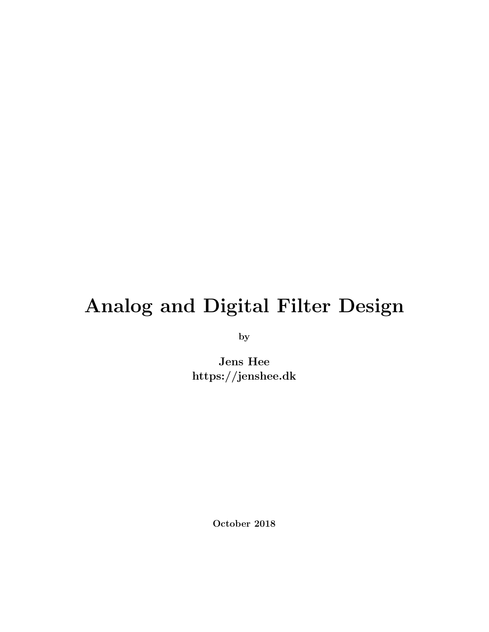# Analog and Digital Filter Design

by

Jens Hee https://jenshee.dk

October 2018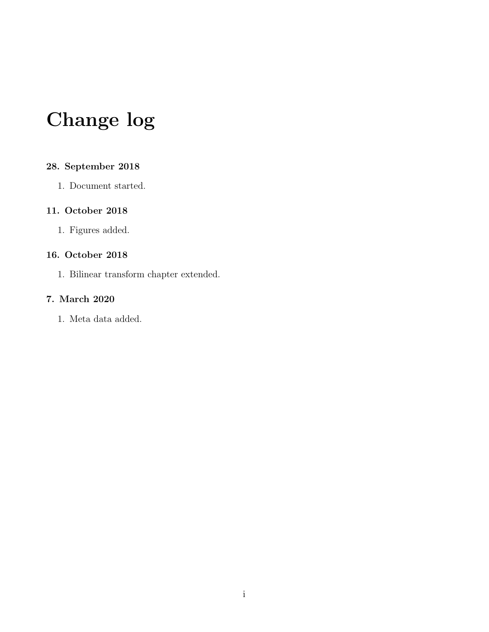# Change log

### 28. September 2018

1. Document started.

### 11. October 2018

1. Figures added.

### 16. October 2018

1. Bilinear transform chapter extended.

### 7. March 2020

1. Meta data added.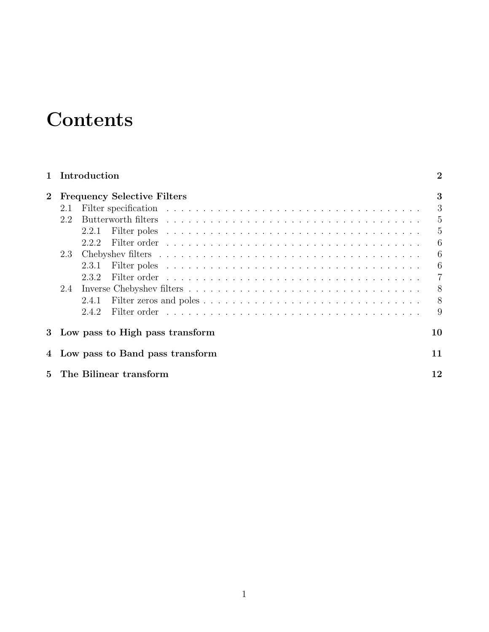# **Contents**

|             |                                    | 1 Introduction                    | $\overline{2}$ |  |
|-------------|------------------------------------|-----------------------------------|----------------|--|
| $\bf{2}$    | <b>Frequency Selective Filters</b> |                                   |                |  |
|             | 2.1                                |                                   | 3              |  |
|             | 2.2                                |                                   | 5              |  |
|             |                                    | 2.2.1                             | 5              |  |
|             |                                    | 2.2.2                             | 6              |  |
|             | 2.3                                |                                   | 6              |  |
|             |                                    | 2.3.1                             | 6              |  |
|             |                                    | 2.3.2                             | $\overline{7}$ |  |
|             | 2.4                                |                                   | 8              |  |
|             |                                    | 2.4.1                             | 8              |  |
|             |                                    | 2.4.2                             | 9              |  |
|             |                                    | 3 Low pass to High pass transform | 10             |  |
|             |                                    | 4 Low pass to Band pass transform | 11             |  |
| $5^{\circ}$ |                                    | The Bilinear transform            | 12             |  |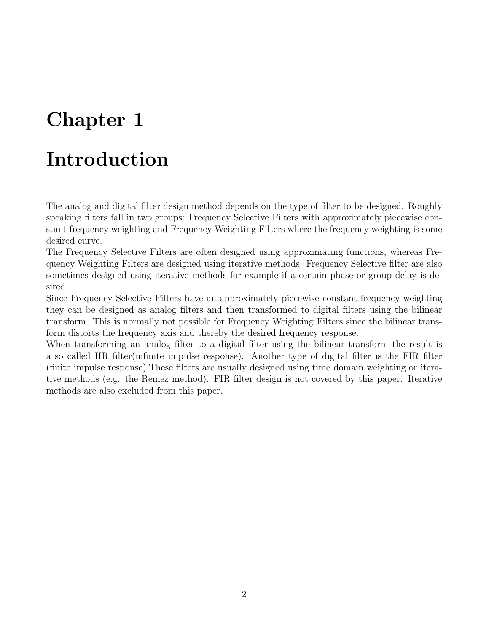## <span id="page-3-0"></span>Introduction

The analog and digital filter design method depends on the type of filter to be designed. Roughly speaking filters fall in two groups: Frequency Selective Filters with approximately piecewise constant frequency weighting and Frequency Weighting Filters where the frequency weighting is some desired curve.

The Frequency Selective Filters are often designed using approximating functions, whereas Frequency Weighting Filters are designed using iterative methods. Frequency Selective filter are also sometimes designed using iterative methods for example if a certain phase or group delay is desired.

Since Frequency Selective Filters have an approximately piecewise constant frequency weighting they can be designed as analog filters and then transformed to digital filters using the bilinear transform. This is normally not possible for Frequency Weighting Filters since the bilinear transform distorts the frequency axis and thereby the desired frequency response.

When transforming an analog filter to a digital filter using the bilinear transform the result is a so called IIR filter(infinite impulse response). Another type of digital filter is the FIR filter (finite impulse response).These filters are usually designed using time domain weighting or iterative methods (e.g. the Remez method). FIR filter design is not covered by this paper. Iterative methods are also excluded from this paper.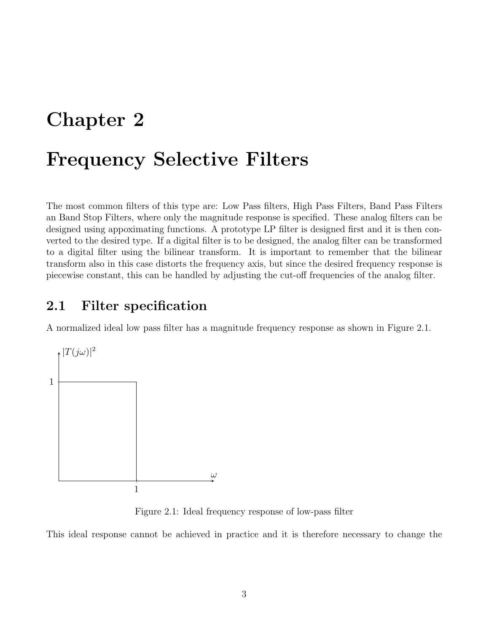## <span id="page-4-0"></span>Frequency Selective Filters

The most common filters of this type are: Low Pass filters, High Pass Filters, Band Pass Filters an Band Stop Filters, where only the magnitude response is specified. These analog filters can be designed using appoximating functions. A prototype LP filter is designed first and it is then converted to the desired type. If a digital filter is to be designed, the analog filter can be transformed to a digital filter using the bilinear transform. It is important to remember that the bilinear transform also in this case distorts the frequency axis, but since the desired frequency response is piecewise constant, this can be handled by adjusting the cut-off frequencies of the analog filter.

## <span id="page-4-1"></span>2.1 Filter specification

A normalized ideal low pass filter has a magnitude frequency response as shown in Figure [2.1.](#page-4-2)



<span id="page-4-2"></span>Figure 2.1: Ideal frequency response of low-pass filter

This ideal response cannot be achieved in practice and it is therefore necessary to change the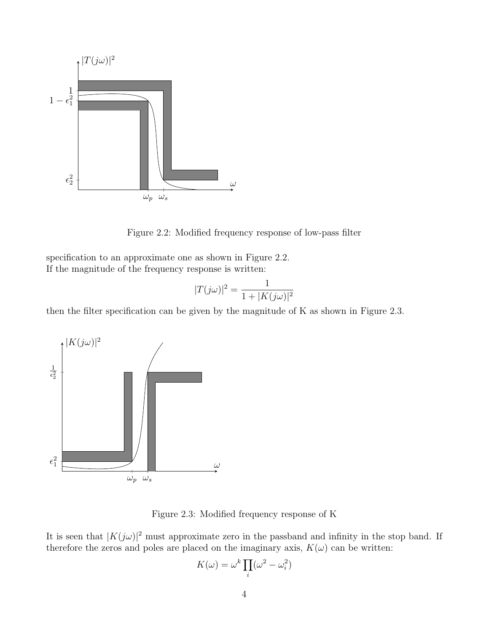

<span id="page-5-0"></span>Figure 2.2: Modified frequency response of low-pass filter

specification to an approximate one as shown in Figure [2.2.](#page-5-0) If the magnitude of the frequency response is written:

$$
|T(j\omega)|^2 = \frac{1}{1 + |K(j\omega)|^2}
$$

then the filter specification can be given by the magnitude of K as shown in Figure [2.3.](#page-5-1)



<span id="page-5-1"></span>Figure 2.3: Modified frequency response of K

It is seen that  $|K(j\omega)|^2$  must approximate zero in the passband and infinity in the stop band. If therefore the zeros and poles are placed on the imaginary axis,  $K(\omega)$  can be written:

$$
K(\omega) = \omega^k \prod_i (\omega^2 - \omega_i^2)
$$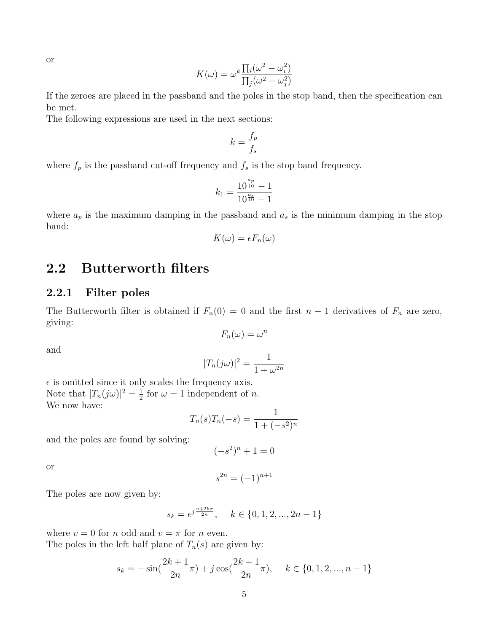or

$$
K(\omega) = \omega^k \frac{\prod_i (\omega^2 - \omega_i^2)}{\prod_j (\omega^2 - \omega_j^2)}
$$

If the zeroes are placed in the passband and the poles in the stop band, then the specification can be met.

The following expressions are used in the next sections:

$$
k = \frac{f_p}{f_s}
$$

where  $f_p$  is the passband cut-off frequency and  $f_s$  is the stop band frequency.

$$
k_1 = \frac{10^{\frac{a_p}{10}} - 1}{10^{\frac{a_s}{10}} - 1}
$$

where  $a_p$  is the maximum damping in the passband and  $a_s$  is the minimum damping in the stop band:

$$
K(\omega) = \epsilon F_n(\omega)
$$

### <span id="page-6-0"></span>2.2 Butterworth filters

### <span id="page-6-1"></span>2.2.1 Filter poles

The Butterworth filter is obtained if  $F_n(0) = 0$  and the first  $n-1$  derivatives of  $F_n$  are zero, giving:

$$
F_n(\omega) = \omega^n
$$

and

$$
|T_n(j\omega)|^2 = \frac{1}{1 + \omega^{2n}}
$$

 $\epsilon$  is omitted since it only scales the frequency axis. Note that  $|T_n(j\omega)|^2 = \frac{1}{2}$  $\frac{1}{2}$  for  $\omega = 1$  independent of *n*. We now have:

$$
T_n(s)T_n(-s) = \frac{1}{1 + (-s^2)^n}
$$

and the poles are found by solving:

$$
(-s^2)^n + 1 = 0
$$

or

$$
s^{2n} = (-1)^{n+1}
$$

The poles are now given by:

$$
s_k = e^{j\frac{v+2k\pi}{2n}}, \quad k \in \{0, 1, 2, ..., 2n-1\}
$$

where  $v = 0$  for n odd and  $v = \pi$  for n even. The poles in the left half plane of  $T_n(s)$  are given by:

$$
s_k = -\sin(\frac{2k+1}{2n}\pi) + j\cos(\frac{2k+1}{2n}\pi), \quad k \in \{0, 1, 2, ..., n-1\}
$$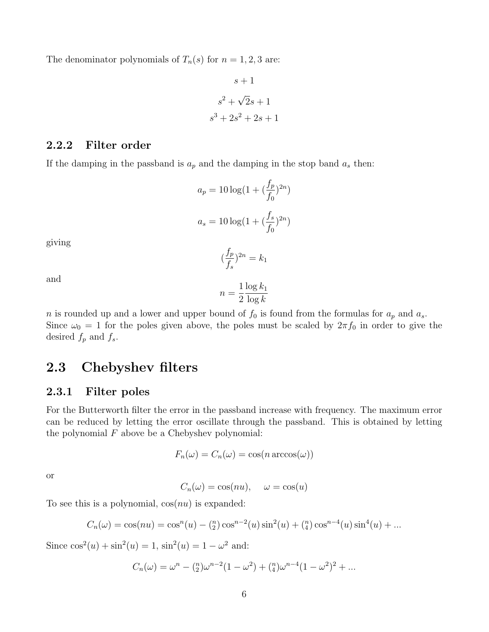The denominator polynomials of  $T_n(s)$  for  $n = 1, 2, 3$  are:

$$
s+1
$$

$$
s2 + \sqrt{2}s + 1
$$

$$
s3 + 2s2 + 2s + 1
$$

### <span id="page-7-0"></span>2.2.2 Filter order

If the damping in the passband is  $a_p$  and the damping in the stop band  $a_s$  then:

$$
a_p = 10 \log(1 + (\frac{f_p}{f_0})^{2n})
$$

$$
a_s = 10 \log(1 + (\frac{f_s}{f_0})^{2n})
$$

giving

$$
(\frac{f_p}{f_s})^{2n} = k_1
$$

and

$$
n = \frac{1}{2} \frac{\log k_1}{\log k}
$$

n is rounded up and a lower and upper bound of  $f_0$  is found from the formulas for  $a_p$  and  $a_s$ . Since  $\omega_0 = 1$  for the poles given above, the poles must be scaled by  $2\pi f_0$  in order to give the desired  $f_p$  and  $f_s$ .

## <span id="page-7-1"></span>2.3 Chebyshev filters

#### <span id="page-7-2"></span>2.3.1 Filter poles

For the Butterworth filter the error in the passband increase with frequency. The maximum error can be reduced by letting the error oscillate through the passband. This is obtained by letting the polynomial  $F$  above be a Chebyshev polynomial:

$$
F_n(\omega) = C_n(\omega) = \cos(n \arccos(\omega))
$$

or

$$
C_n(\omega) = \cos(nu), \quad \omega = \cos(u)
$$

To see this is a polynomial,  $cos(nu)$  is expanded:

$$
C_n(\omega) = \cos(nu) = \cos^n(u) - \binom{n}{2}\cos^{n-2}(u)\sin^2(u) + \binom{n}{4}\cos^{n-4}(u)\sin^4(u) + \dots
$$

Since  $\cos^2(u) + \sin^2(u) = 1$ ,  $\sin^2(u) = 1 - \omega^2$  and:

$$
C_n(\omega) = \omega^n - \binom{n}{2}\omega^{n-2}(1-\omega^2) + \binom{n}{4}\omega^{n-4}(1-\omega^2)^2 + \dots
$$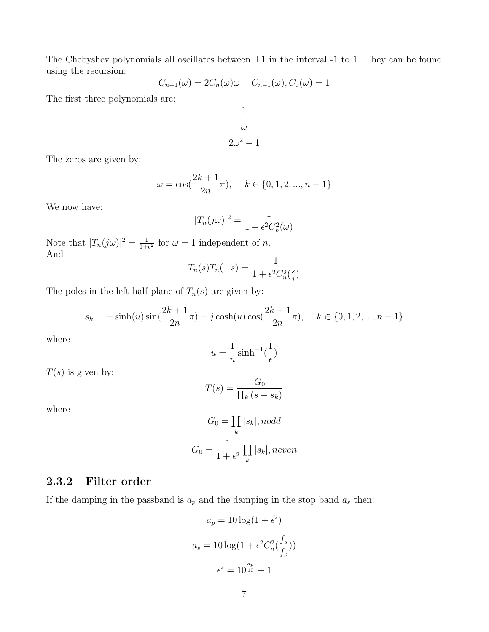The Chebyshev polynomials all oscillates between  $\pm 1$  in the interval -1 to 1. They can be found using the recursion:

$$
C_{n+1}(\omega) = 2C_n(\omega)\omega - C_{n-1}(\omega), C_0(\omega) = 1
$$

The first three polynomials are:

$$
\omega
$$

$$
2\omega^2 - 1
$$

1

The zeros are given by:

$$
\omega = \cos(\frac{2k+1}{2n}\pi), \quad k \in \{0, 1, 2, ..., n-1\}
$$

We now have:

$$
|T_n(j\omega)|^2 = \frac{1}{1 + \epsilon^2 C_n^2(\omega)}
$$

Note that  $|T_n(j\omega)|^2 = \frac{1}{1+\omega}$  $\frac{1}{1+\epsilon^2}$  for  $\omega = 1$  independent of *n*. And

$$
T_n(s)T_n(-s) = \frac{1}{1 + \epsilon^2 C_n^2(\frac{s}{j})}
$$

The poles in the left half plane of  $T_n(s)$  are given by:

$$
s_k = -\sinh(u)\sin(\frac{2k+1}{2n}\pi) + j\cosh(u)\cos(\frac{2k+1}{2n}\pi), \quad k \in \{0, 1, 2, ..., n-1\}
$$

where

$$
u = \frac{1}{n} \sinh^{-1}(\frac{1}{\epsilon})
$$

 $T(s)$  is given by:

$$
T(s) = \frac{G_0}{\prod_k (s - s_k)}
$$

where

$$
G_0 = \prod_k |s_k|, nodd
$$

$$
G_0 = \frac{1}{1 + \epsilon^2} \prod_k |s_k|, neven
$$

### <span id="page-8-0"></span>2.3.2 Filter order

If the damping in the passband is  $a_p$  and the damping in the stop band  $a_s$  then:

$$
a_p = 10 \log(1 + \epsilon^2)
$$

$$
a_s = 10 \log(1 + \epsilon^2 C_n^2(\frac{f_s}{f_p}))
$$

$$
\epsilon^2 = 10^{\frac{ap}{10}} - 1
$$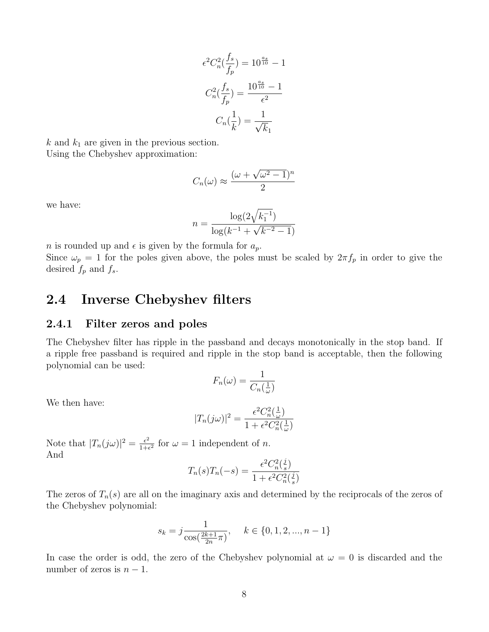$$
\epsilon^2 C_n^2 \left(\frac{f_s}{f_p}\right) = 10^{\frac{as}{10}} - 1
$$

$$
C_n^2 \left(\frac{f_s}{f_p}\right) = \frac{10^{\frac{as}{10}} - 1}{\epsilon^2}
$$

$$
C_n \left(\frac{1}{k}\right) = \frac{1}{\sqrt{k_1}}
$$

 $k$  and  $k_1$  are given in the previous section. Using the Chebyshev approximation:

$$
C_n(\omega) \approx \frac{(\omega + \sqrt{\omega^2 - 1})^n}{2}
$$

we have:

$$
n = \frac{\log(2\sqrt{k_1^{-1}})}{\log(k^{-1} + \sqrt{k^{-2} - 1})}
$$

*n* is rounded up and  $\epsilon$  is given by the formula for  $a_p$ . Since  $\omega_p = 1$  for the poles given above, the poles must be scaled by  $2\pi f_p$  in order to give the desired  $f_p$  and  $f_s$ .

### <span id="page-9-0"></span>2.4 Inverse Chebyshev filters

#### <span id="page-9-1"></span>2.4.1 Filter zeros and poles

The Chebyshev filter has ripple in the passband and decays monotonically in the stop band. If a ripple free passband is required and ripple in the stop band is acceptable, then the following polynomial can be used:

$$
F_n(\omega) = \frac{1}{C_n(\frac{1}{\omega})}
$$

We then have:

$$
|T_n(j\omega)|^2 = \frac{\epsilon^2 C_n^2(\frac{1}{\omega})}{1 + \epsilon^2 C_n^2(\frac{1}{\omega})}
$$

Note that  $|T_n(j\omega)|^2 = \frac{\epsilon^2}{1+\epsilon^2}$  $\frac{\epsilon^2}{1+\epsilon^2}$  for  $\omega = 1$  independent of *n*. And

$$
T_n(s)T_n(-s) = \frac{\epsilon^2 C_n^2(\frac{j}{s})}{1 + \epsilon^2 C_n^2(\frac{j}{s})}
$$

The zeros of  $T_n(s)$  are all on the imaginary axis and determined by the reciprocals of the zeros of the Chebyshev polynomial:

$$
s_k = j \frac{1}{\cos(\frac{2k+1}{2n}\pi)}, \quad k \in \{0, 1, 2, ..., n-1\}
$$

In case the order is odd, the zero of the Chebyshev polynomial at  $\omega = 0$  is discarded and the number of zeros is  $n - 1$ .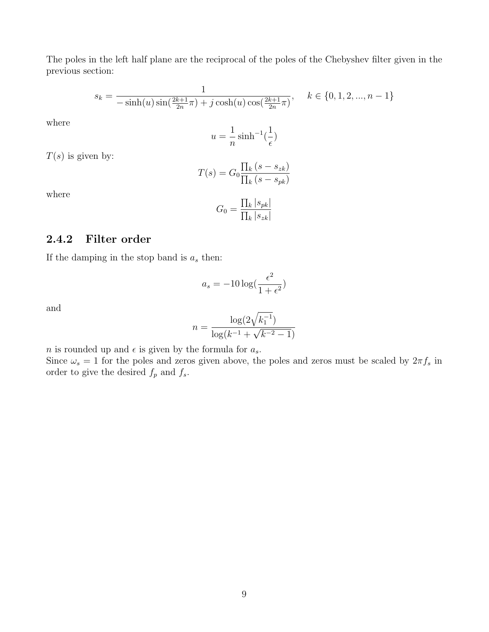The poles in the left half plane are the reciprocal of the poles of the Chebyshev filter given in the previous section:

$$
s_k = \frac{1}{-\sinh(u)\sin(\frac{2k+1}{2n}\pi) + j\cosh(u)\cos(\frac{2k+1}{2n}\pi)}, \quad k \in \{0, 1, 2, ..., n-1\}
$$

where

$$
u = \frac{1}{n} \sinh^{-1}(\frac{1}{\epsilon})
$$

 $T(s)$  is given by:

$$
T(s) = G_0 \frac{\prod_k (s - s_{zk})}{\prod_k (s - s_{pk})}
$$

where

$$
G_0 = \frac{\prod_k |s_{pk}|}{\prod_k |s_{zk}|}
$$

#### <span id="page-10-0"></span>2.4.2 Filter order

If the damping in the stop band is  $a_s$  then:

$$
a_s = -10\log(\frac{\epsilon^2}{1+\epsilon^2})
$$

and

$$
n = \frac{\log(2\sqrt{k_1^{-1}})}{\log(k^{-1} + \sqrt{k^{-2} - 1})}
$$

*n* is rounded up and  $\epsilon$  is given by the formula for  $a_s$ .

Since  $\omega_s = 1$  for the poles and zeros given above, the poles and zeros must be scaled by  $2\pi f_s$  in order to give the desired  $f_p$  and  $f_s.$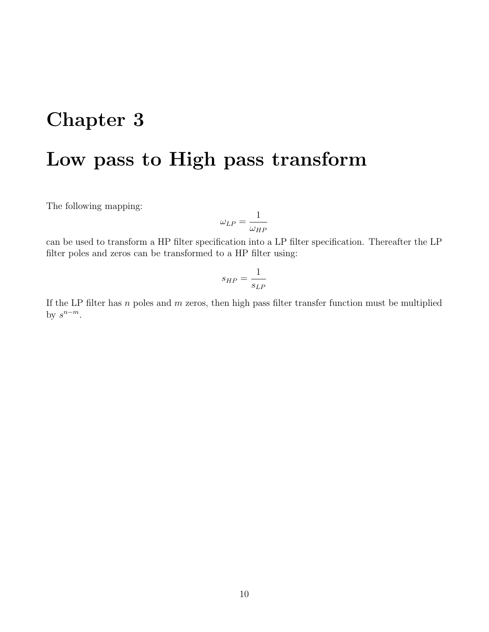## <span id="page-11-0"></span>Low pass to High pass transform

The following mapping:

$$
\omega_{LP} = \frac{1}{\omega_{HP}}
$$

can be used to transform a HP filter specification into a LP filter specification. Thereafter the LP filter poles and zeros can be transformed to a HP filter using:

$$
s_{HP} = \frac{1}{s_{LP}}
$$

If the LP filter has  $n$  poles and  $m$  zeros, then high pass filter transfer function must be multiplied by  $s^{n-m}$ .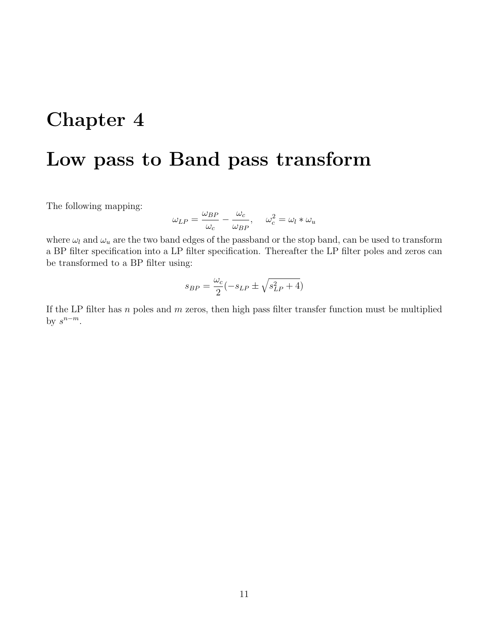## <span id="page-12-0"></span>Low pass to Band pass transform

The following mapping:

$$
\omega_{LP} = \frac{\omega_{BP}}{\omega_c} - \frac{\omega_c}{\omega_{BP}}, \quad \omega_c^2 = \omega_l * \omega_u
$$

where  $\omega_l$  and  $\omega_u$  are the two band edges of the passband or the stop band, can be used to transform a BP filter specification into a LP filter specification. Thereafter the LP filter poles and zeros can be transformed to a BP filter using:

$$
s_{BP} = \frac{\omega_c}{2}(-s_{LP} \pm \sqrt{s_{LP}^2 + 4})
$$

If the LP filter has  $n$  poles and  $m$  zeros, then high pass filter transfer function must be multiplied by  $s^{n-m}$ .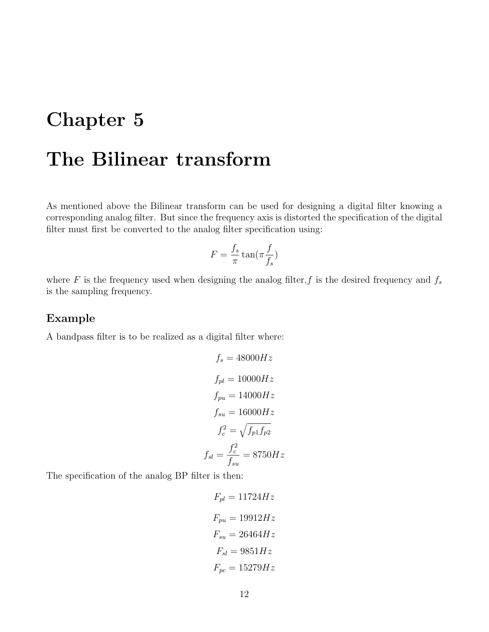## <span id="page-13-0"></span>The Bilinear transform

As mentioned above the Bilinear transform can be used for designing a digital filter knowing a corresponding analog filter. But since the frequency axis is distorted the specification of the digital filter must first be converted to the analog filter specification using:

$$
F = \frac{f_s}{\pi} \tan(\pi \frac{f}{f_s})
$$

where F is the frequency used when designing the analog filter, f is the desired frequency and  $f_s$ is the sampling frequency.

### Example

A bandpass filter is to be realized as a digital filter where:

$$
f_s = 48000Hz
$$
  
\n
$$
f_{pl} = 10000Hz
$$
  
\n
$$
f_{pu} = 14000Hz
$$
  
\n
$$
f_{su} = 16000Hz
$$
  
\n
$$
f_c^2 = \sqrt{f_{p1}f_{p2}}
$$
  
\n
$$
f_{sl} = \frac{f_c^2}{f_{su}} = 8750Hz
$$

The specification of the analog BP filter is then:

 $F_{pl} = 11724 Hz$  $F_{pu} = 19912 Hz$  $F_{su} = 26464 Hz$  $F_{sl} = 9851 Hz$  $F_{pc} = 15279Hz$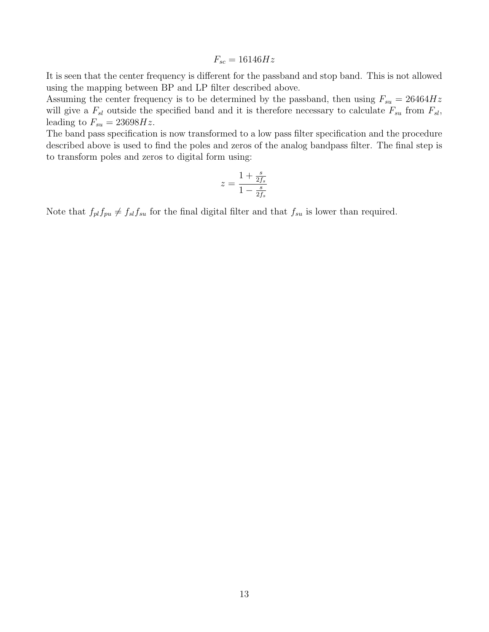$$
F_{sc} = 16146Hz
$$

It is seen that the center frequency is different for the passband and stop band. This is not allowed using the mapping between BP and LP filter described above.

Assuming the center frequency is to be determined by the passband, then using  $F_{su} = 26464Hz$ will give a  $F_{sl}$  outside the specified band and it is therefore necessary to calculate  $F_{su}$  from  $F_{sl}$ , leading to  $F_{su} = 23698Hz$ .

The band pass specification is now transformed to a low pass filter specification and the procedure described above is used to find the poles and zeros of the analog bandpass filter. The final step is to transform poles and zeros to digital form using:

$$
z = \frac{1+\frac{s}{2f_s}}{1-\frac{s}{2f_s}}
$$

Note that  $f_{pl}f_{pu} \neq f_{sl}f_{su}$  for the final digital filter and that  $f_{su}$  is lower than required.